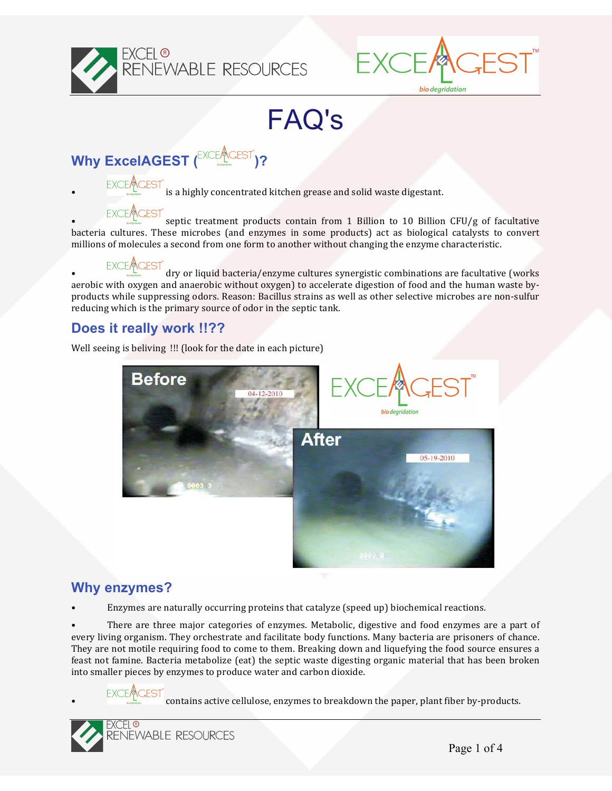



FAQ's

**Why ExcelAGEST** (<sup>EXCEA</sup>CEST<sup>'</sup>)?

 $\text{EXCE}\text{ACEST}$  is a highly concentrated kitchen grease and solid waste digestant.

septic treatment products contain from 1 Billion to 10 Billion  $CFU/g$  of facultative bacteria cultures. These microbes (and enzymes in some products) act as biological catalysts to convert millions of molecules a second from one form to another without changing the enzyme characteristic.

 $\text{EXEC}_\text{ACEST}^{\text{ACEST}}$  dry or liquid bacteria/enzyme cultures synergistic combinations are facultative (works aerobic with oxygen and anaerobic without oxygen) to accelerate digestion of food and the human waste byproducts while suppressing odors. Reason: Bacillus strains as well as other selective microbes are non-sulfur reducing which is the primary source of odor in the septic tank.

## **Does it really work !!??**

Well seeing is beliving !!! (look for the date in each picture)



#### **Why enzymes?**

Enzymes are naturally occurring proteins that catalyze (speed up) biochemical reactions.

There are three major categories of enzymes. Metabolic, digestive and food enzymes are a part of every living organism. They orchestrate and facilitate body functions. Many bacteria are prisoners of chance. They are not motile requiring food to come to them. Breaking down and liquefying the food source ensures a feast not famine. Bacteria metabolize (eat) the septic waste digesting organic material that has been broken into smaller pieces by enzymes to produce water and carbon dioxide.

contains active cellulose, enzymes to breakdown the paper, plant fiber by-products.

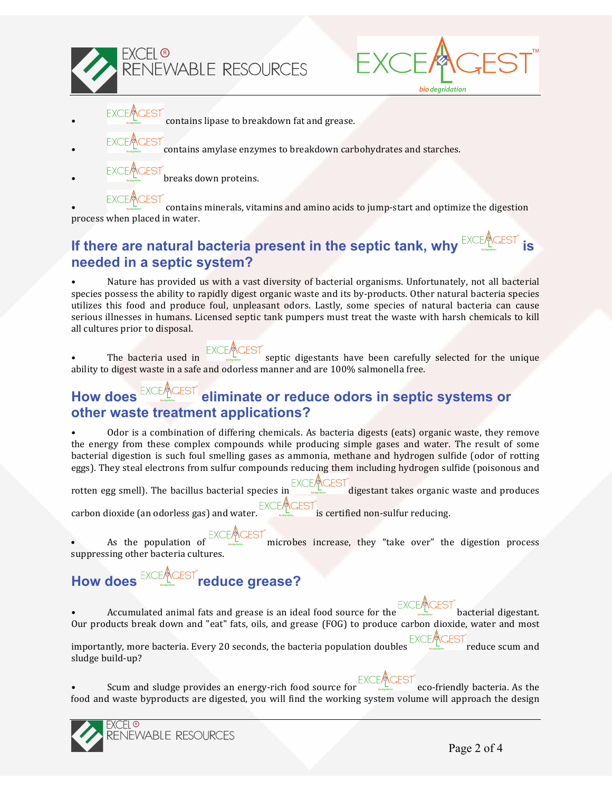

- 
- contains lipase to breakdown fat and grease.
- contains amylase enzymes to breakdown carbohydrates and starches.
- breaks down proteins.

contains minerals, vitamins and amino acids to jump-start and optimize the digestion process when placed in water.

bio degridation

## **If there are natural bacteria present in the septic tank, why EXCEALLED THE ALL SETTING SETTING SETTING SETTING SETTING SETTING SETTING SETTING SETTING SETTING SETTING SETTING SETTING SETTING SETTING SETTING SETTING SETTI needed in a septic system?**

Nature has provided us with a vast diversity of bacterial organisms. Unfortunately, not all bacterial species possess the ability to rapidly digest organic waste and its by-products. Other natural bacteria species utilizes this food and produce foul, unpleasant odors. Lastly, some species of natural bacteria can cause serious illnesses in humans. Licensed septic tank pumpers must treat the waste with harsh chemicals to kill all cultures prior to disposal.

The bacteria used in  $\frac{EXCL^{n}(ES)}{S}$  septic digestants have been carefully selected for the unique ability to digest waste in a safe and odorless manner and are  $100\%$  salmonella free.

## How does EXCEACEST eliminate or reduce odors in septic systems or **other waste treatment applications?**

Odor is a combination of differing chemicals. As bacteria digests (eats) organic waste, they remove the energy from these complex compounds while producing simple gases and water. The result of some bacterial digestion is such foul smelling gases as ammonia, methane and hydrogen sulfide (odor of rotting eggs). They steal electrons from sulfur compounds reducing them including hydrogen sulfide (poisonous and

rotten egg smell). The bacillus bacterial species in digestant takes organic waste and produces carbon dioxide (an odorless gas) and water.  $\frac{EXCE/ACEST}{S}$  is certified non-sulfur reducing.

As the population of  $\frac{EXCLMCES}{S}$  microbes increase, they "take over" the digestion process suppressing other bacteria cultures.

# How does EXCEARGEST reduce grease?

 $\text{Accumulated animal fits and grease is an ideal food source for the } \text{EXCE} \text{ \textdegree} \text{BACC} \text{ \textdegree}$ Our products break down and "eat" fats, oils, and grease (FOG) to produce carbon dioxide, water and most

importantly, more bacteria. Every 20 seconds, the bacteria population doubles EXCEACEST reduce scum and relation  $\frac{EXCEA}{E}$ sludge build-up?

Scum and sludge provides an energy-rich food source for  $\frac{1}{\sqrt{2}}$  eco-friendly bacteria. As the food and waste byproducts are digested, you will find the working system volume will approach the design



KCEL ® RENEWABLE RESOURCES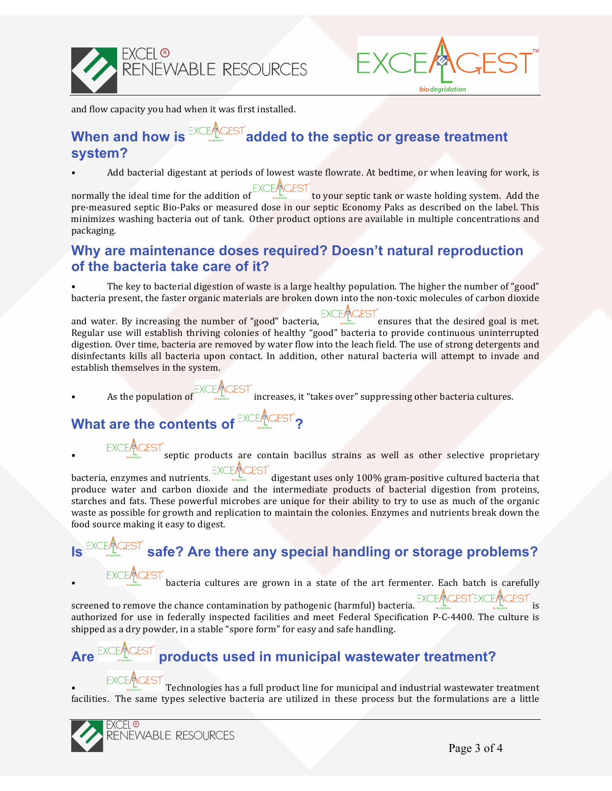



bio degridation

and flow capacity you had when it was first installed.

## **When and how is EXCEALGEST added to the septic or grease treatment system?**

Add bacterial digestant at periods of lowest waste flowrate. At bedtime, or when leaving for work, is

normally the ideal time for the addition of  $\frac{E \times CE / E \cup EF}{E}$  to your septic tank or waste holding system. Add the pre-measured septic Bio-Paks or measured dose in our septic Economy Paks as described on the label. This minimizes washing bacteria out of tank. Other product options are available in multiple concentrations and packaging.

## **Why are maintenance doses required? Doesn't natural reproduction of the bacteria take care of it?**

The key to bacterial digestion of waste is a large healthy population. The higher the number of "good" bacteria present, the faster organic materials are broken down into the non-toxic molecules of carbon dioxide

and water. By increasing the number of "good" bacteria, EXCEMCEST<br>ensures that the desired goal is met. Regular use will establish thriving colonies of healthy "good" bacteria to provide continuous uninterrupted digestion. Over time, bacteria are removed by water flow into the leach field. The use of strong detergents and disinfectants kills all bacteria upon contact. In addition, other natural bacteria will attempt to invade and establish themselves in the system.

As the population of  $\sqrt{\text{CEST}^*}$  increases, it "takes over" suppressing other bacteria cultures.

# **What are the contents of EXCEACEST?**

 $\overline{\text{GEST}}^*$  septic products are contain bacillus strains as well as other selective proprietary

bacteria, enzymes and nutrients.  $\frac{EXCEAACEST}{EACEST}$  digestant uses only 100% gram-positive cultured bacteria that produce water and carbon dioxide and the intermediate products of bacterial digestion from proteins, starches and fats. These powerful microbes are unique for their ability to try to use as much of the organic waste as possible for growth and replication to maintain the colonies. Enzymes and nutrients break down the food source making it easy to digest.

# $\overline{H}^{\text{EST}}$  safe? Are there any special handling or storage problems?

 $\text{EXEC}_\text{ACEST}^{\text{ACEST}}$  bacteria cultures are grown in a state of the art fermenter. Each batch is carefully screened to remove the chance contamination by pathogenic (harmful) bacteria. EXCEACESTEXCEACEST is authorized for use in federally inspected facilities and meet Federal Specification P-C-4400. The culture is

# Are EXCEMCEST products used in municipal wastewater treatment?

shipped as a dry powder, in a stable "spore form" for easy and safe handling.

 $\text{EXEC}_\text{C}\text{EST}$ <br>Technologies has a full product line for municipal and industrial wastewater treatment facilities. The same types selective bacteria are utilized in these process but the formulations are a little